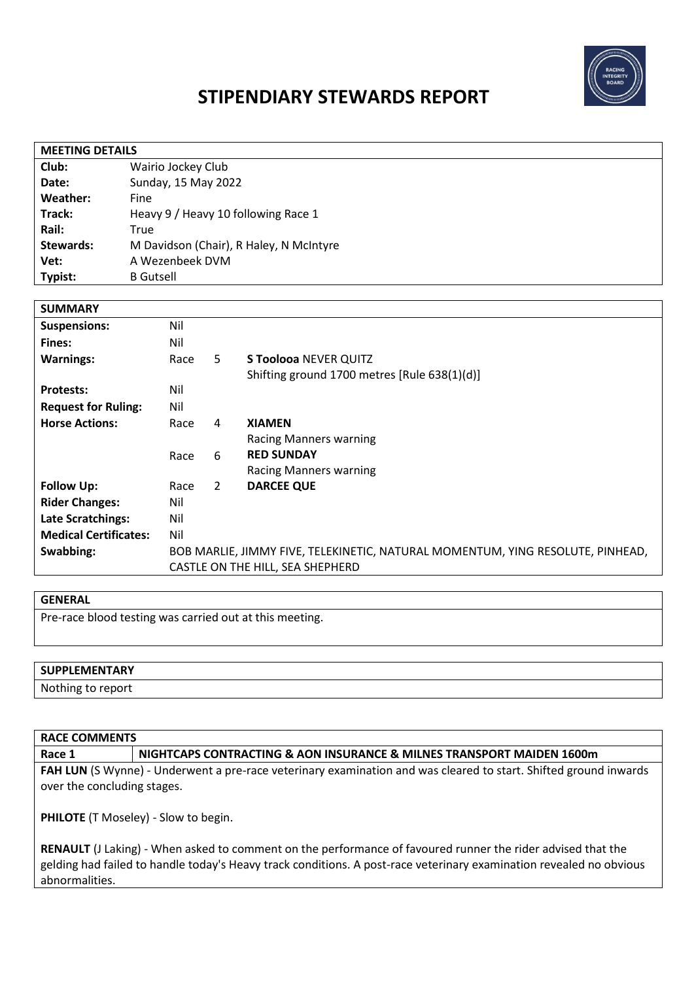

# **STIPENDIARY STEWARDS REPORT**

| <b>MEETING DETAILS</b> |                                         |  |  |  |
|------------------------|-----------------------------------------|--|--|--|
| Club:                  | Wairio Jockey Club                      |  |  |  |
| Date:                  | Sunday, 15 May 2022                     |  |  |  |
| Weather:               | Fine                                    |  |  |  |
| Track:                 | Heavy 9 / Heavy 10 following Race 1     |  |  |  |
| Rail:                  | True                                    |  |  |  |
| <b>Stewards:</b>       | M Davidson (Chair), R Haley, N McIntyre |  |  |  |
| Vet:                   | A Wezenbeek DVM                         |  |  |  |
| Typist:                | <b>B</b> Gutsell                        |  |  |  |

| <b>SUMMARY</b>               |                                                                                |                |                                              |
|------------------------------|--------------------------------------------------------------------------------|----------------|----------------------------------------------|
| <b>Suspensions:</b>          | Nil                                                                            |                |                                              |
| Fines:                       | Nil                                                                            |                |                                              |
| <b>Warnings:</b>             | Race                                                                           | 5              | <b>S Toolooa NEVER QUITZ</b>                 |
|                              |                                                                                |                | Shifting ground 1700 metres [Rule 638(1)(d)] |
| <b>Protests:</b>             | Nil                                                                            |                |                                              |
| <b>Request for Ruling:</b>   | Nil                                                                            |                |                                              |
| <b>Horse Actions:</b>        | Race                                                                           | 4              | <b>XIAMEN</b>                                |
|                              |                                                                                |                | Racing Manners warning                       |
|                              | Race                                                                           | 6              | <b>RED SUNDAY</b>                            |
|                              |                                                                                |                | <b>Racing Manners warning</b>                |
| <b>Follow Up:</b>            | Race                                                                           | $\overline{2}$ | <b>DARCEE QUE</b>                            |
| <b>Rider Changes:</b>        | Nil                                                                            |                |                                              |
| <b>Late Scratchings:</b>     | Nil                                                                            |                |                                              |
| <b>Medical Certificates:</b> | Nil                                                                            |                |                                              |
| Swabbing:                    | BOB MARLIE, JIMMY FIVE, TELEKINETIC, NATURAL MOMENTUM, YING RESOLUTE, PINHEAD, |                |                                              |
|                              | CASTLE ON THE HILL, SEA SHEPHERD                                               |                |                                              |

#### **GENERAL**

Pre-race blood testing was carried out at this meeting.

| <b>SUPPLEMENTARY</b> |  |
|----------------------|--|
| Nothing to report    |  |

#### **RACE COMMENTS**

**Race 1 NIGHTCAPS CONTRACTING & AON INSURANCE & MILNES TRANSPORT MAIDEN 1600m**

**FAH LUN** (S Wynne) - Underwent a pre-race veterinary examination and was cleared to start. Shifted ground inwards over the concluding stages.

**PHILOTE** (T Moseley) - Slow to begin.

**RENAULT** (J Laking) - When asked to comment on the performance of favoured runner the rider advised that the gelding had failed to handle today's Heavy track conditions. A post-race veterinary examination revealed no obvious abnormalities.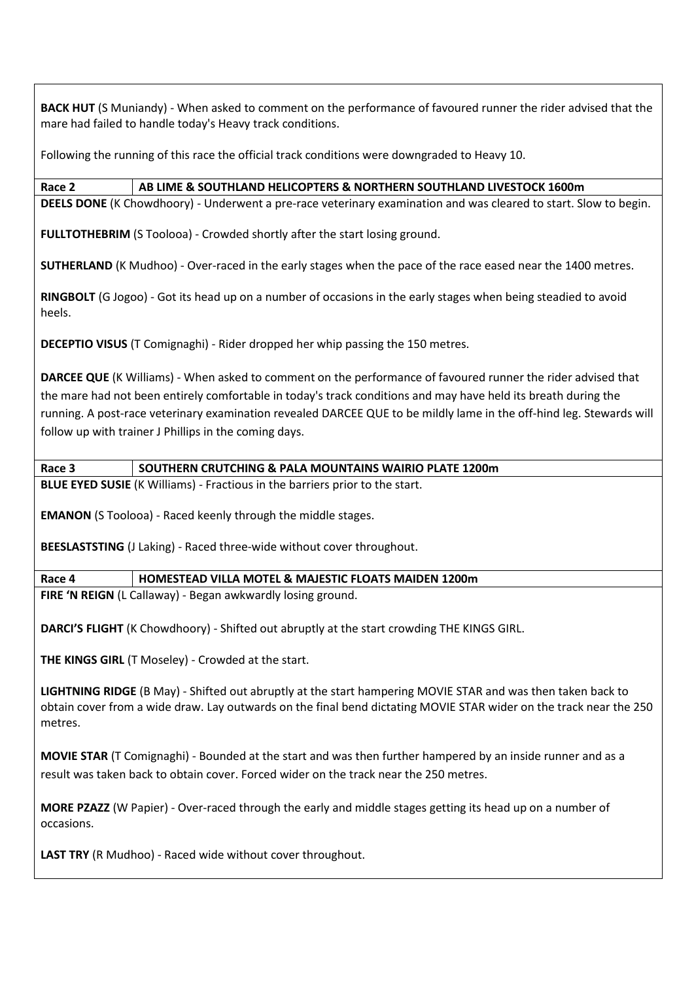**BACK HUT** (S Muniandy) - When asked to comment on the performance of favoured runner the rider advised that the mare had failed to handle today's Heavy track conditions.

Following the running of this race the official track conditions were downgraded to Heavy 10.

## **Race 2 AB LIME & SOUTHLAND HELICOPTERS & NORTHERN SOUTHLAND LIVESTOCK 1600m**

**DEELS DONE** (K Chowdhoory) - Underwent a pre-race veterinary examination and was cleared to start. Slow to begin.

**FULLTOTHEBRIM** (S Toolooa) - Crowded shortly after the start losing ground.

**SUTHERLAND** (K Mudhoo) - Over-raced in the early stages when the pace of the race eased near the 1400 metres.

**RINGBOLT** (G Jogoo) - Got its head up on a number of occasions in the early stages when being steadied to avoid heels.

**DECEPTIO VISUS** (T Comignaghi) - Rider dropped her whip passing the 150 metres.

**DARCEE QUE** (K Williams) - When asked to comment on the performance of favoured runner the rider advised that the mare had not been entirely comfortable in today's track conditions and may have held its breath during the running. A post-race veterinary examination revealed DARCEE QUE to be mildly lame in the off-hind leg. Stewards will follow up with trainer J Phillips in the coming days.

**Race 3 SOUTHERN CRUTCHING & PALA MOUNTAINS WAIRIO PLATE 1200m**

**BLUE EYED SUSIE** (K Williams) - Fractious in the barriers prior to the start.

**EMANON** (S Toolooa) - Raced keenly through the middle stages.

**BEESLASTSTING** (J Laking) - Raced three-wide without cover throughout.

#### **Race 4 HOMESTEAD VILLA MOTEL & MAJESTIC FLOATS MAIDEN 1200m**

**FIRE 'N REIGN** (L Callaway) - Began awkwardly losing ground.

**DARCI'S FLIGHT** (K Chowdhoory) - Shifted out abruptly at the start crowding THE KINGS GIRL.

**THE KINGS GIRL** (T Moseley) - Crowded at the start.

**LIGHTNING RIDGE** (B May) - Shifted out abruptly at the start hampering MOVIE STAR and was then taken back to obtain cover from a wide draw. Lay outwards on the final bend dictating MOVIE STAR wider on the track near the 250 metres.

**MOVIE STAR** (T Comignaghi) - Bounded at the start and was then further hampered by an inside runner and as a result was taken back to obtain cover. Forced wider on the track near the 250 metres.

**MORE PZAZZ** (W Papier) - Over-raced through the early and middle stages getting its head up on a number of occasions.

**LAST TRY** (R Mudhoo) - Raced wide without cover throughout.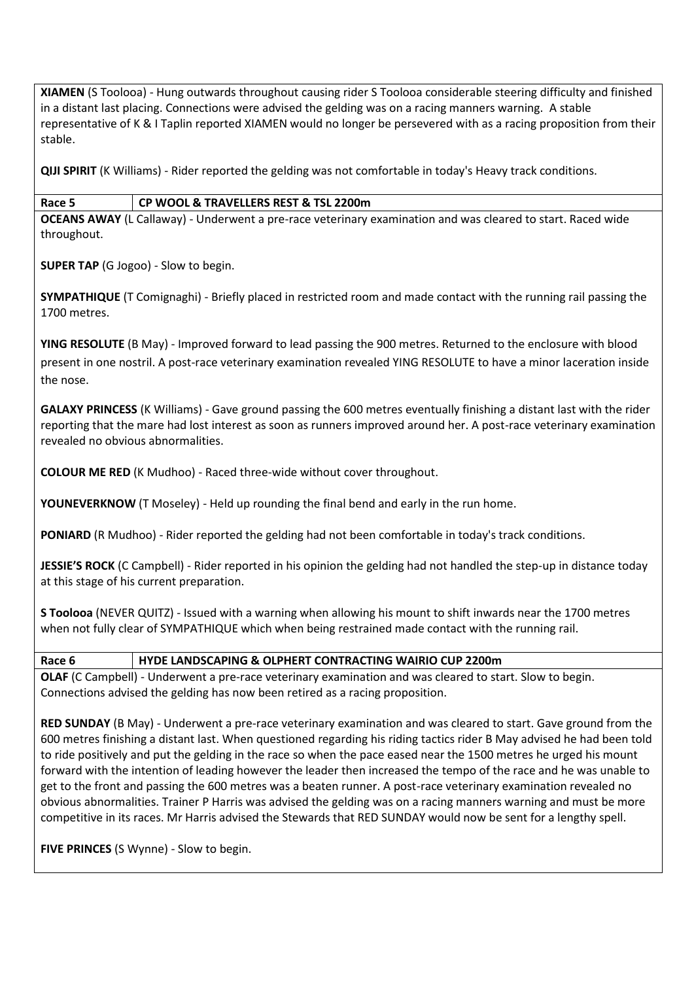**XIAMEN** (S Toolooa) - Hung outwards throughout causing rider S Toolooa considerable steering difficulty and finished in a distant last placing. Connections were advised the gelding was on a racing manners warning.A stable representative of K & I Taplin reported XIAMEN would no longer be persevered with as a racing proposition from their stable.

**QIJI SPIRIT** (K Williams) - Rider reported the gelding was not comfortable in today's Heavy track conditions.

#### **Race 5 CP WOOL & TRAVELLERS REST & TSL 2200m**

**OCEANS AWAY** (L Callaway) - Underwent a pre-race veterinary examination and was cleared to start. Raced wide throughout.

**SUPER TAP** (G Jogoo) - Slow to begin.

**SYMPATHIQUE** (T Comignaghi) - Briefly placed in restricted room and made contact with the running rail passing the 1700 metres.

**YING RESOLUTE** (B May) - Improved forward to lead passing the 900 metres. Returned to the enclosure with blood present in one nostril. A post-race veterinary examination revealed YING RESOLUTE to have a minor laceration inside the nose.

**GALAXY PRINCESS** (K Williams) - Gave ground passing the 600 metres eventually finishing a distant last with the rider reporting that the mare had lost interest as soon as runners improved around her. A post-race veterinary examination revealed no obvious abnormalities.

**COLOUR ME RED** (K Mudhoo) - Raced three-wide without cover throughout.

**YOUNEVERKNOW** (T Moseley) - Held up rounding the final bend and early in the run home.

**PONIARD** (R Mudhoo) - Rider reported the gelding had not been comfortable in today's track conditions.

**JESSIE'S ROCK** (C Campbell) - Rider reported in his opinion the gelding had not handled the step-up in distance today at this stage of his current preparation.

**S Toolooa** (NEVER QUITZ) - Issued with a warning when allowing his mount to shift inwards near the 1700 metres when not fully clear of SYMPATHIQUE which when being restrained made contact with the running rail.

**Race 6 HYDE LANDSCAPING & OLPHERT CONTRACTING WAIRIO CUP 2200m**

**OLAF** (C Campbell) - Underwent a pre-race veterinary examination and was cleared to start. Slow to begin. Connections advised the gelding has now been retired as a racing proposition.

**RED SUNDAY** (B May) - Underwent a pre-race veterinary examination and was cleared to start. Gave ground from the 600 metres finishing a distant last. When questioned regarding his riding tactics rider B May advised he had been told to ride positively and put the gelding in the race so when the pace eased near the 1500 metres he urged his mount forward with the intention of leading however the leader then increased the tempo of the race and he was unable to get to the front and passing the 600 metres was a beaten runner. A post-race veterinary examination revealed no obvious abnormalities. Trainer P Harris was advised the gelding was on a racing manners warning and must be more competitive in its races. Mr Harris advised the Stewards that RED SUNDAY would now be sent for a lengthy spell.

**FIVE PRINCES** (S Wynne) - Slow to begin.